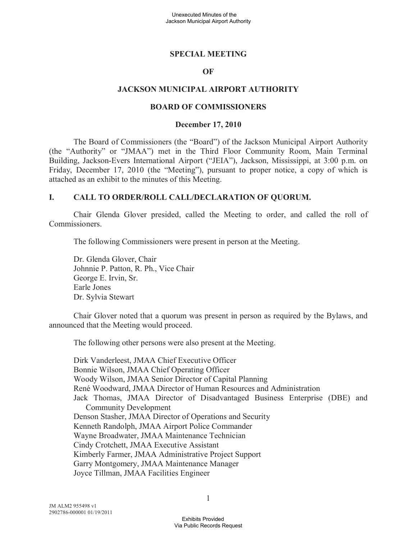#### **SPECIAL MEETING**

#### **OF**

#### **JACKSON MUNICIPAL AIRPORT AUTHORITY**

#### **BOARD OF COMMISSIONERS**

#### **December 17, 2010**

The Board of Commissioners (the "Board") of the Jackson Municipal Airport Authority (the "Authority" or "JMAA") met in the Third Floor Community Room, Main Terminal Building, Jackson-Evers International Airport ("JEIA"), Jackson, Mississippi, at 3:00 p.m. on Friday, December 17, 2010 (the "Meeting"), pursuant to proper notice, a copy of which is attached as an exhibit to the minutes of this Meeting.

#### **I. CALL TO ORDER/ROLL CALL/DECLARATION OF QUORUM.**

Chair Glenda Glover presided, called the Meeting to order, and called the roll of Commissioners.

The following Commissioners were present in person at the Meeting.

Dr. Glenda Glover, Chair Johnnie P. Patton, R. Ph., Vice Chair George E. Irvin, Sr. Earle Jones Dr. Sylvia Stewart

Chair Glover noted that a quorum was present in person as required by the Bylaws, and announced that the Meeting would proceed.

The following other persons were also present at the Meeting.

Dirk Vanderleest, JMAA Chief Executive Officer Bonnie Wilson, JMAA Chief Operating Officer Woody Wilson, JMAA Senior Director of Capital Planning René Woodward, JMAA Director of Human Resources and Administration Jack Thomas, JMAA Director of Disadvantaged Business Enterprise (DBE) and Community Development Denson Stasher, JMAA Director of Operations and Security Kenneth Randolph, JMAA Airport Police Commander Wayne Broadwater, JMAA Maintenance Technician Cindy Crotchett, JMAA Executive Assistant Kimberly Farmer, JMAA Administrative Project Support Garry Montgomery, JMAA Maintenance Manager Joyce Tillman, JMAA Facilities Engineer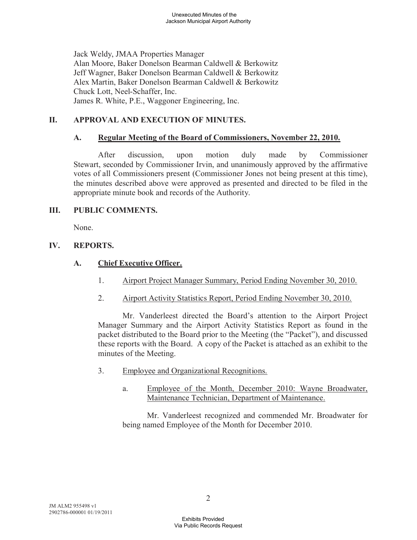Jack Weldy, JMAA Properties Manager Alan Moore, Baker Donelson Bearman Caldwell & Berkowitz Jeff Wagner, Baker Donelson Bearman Caldwell & Berkowitz Alex Martin, Baker Donelson Bearman Caldwell & Berkowitz Chuck Lott, Neel-Schaffer, Inc. James R. White, P.E., Waggoner Engineering, Inc.

# **II. APPROVAL AND EXECUTION OF MINUTES.**

### **A. Regular Meeting of the Board of Commissioners, November 22, 2010.**

After discussion, upon motion duly made by Commissioner Stewart, seconded by Commissioner Irvin, and unanimously approved by the affirmative votes of all Commissioners present (Commissioner Jones not being present at this time), the minutes described above were approved as presented and directed to be filed in the appropriate minute book and records of the Authority.

### **III. PUBLIC COMMENTS.**

None.

## **IV. REPORTS.**

## **A. Chief Executive Officer.**

- 1. Airport Project Manager Summary, Period Ending November 30, 2010.
- 2. Airport Activity Statistics Report, Period Ending November 30, 2010.

Mr. Vanderleest directed the Board's attention to the Airport Project Manager Summary and the Airport Activity Statistics Report as found in the packet distributed to the Board prior to the Meeting (the "Packet"), and discussed these reports with the Board. A copy of the Packet is attached as an exhibit to the minutes of the Meeting.

- 3. Employee and Organizational Recognitions.
	- a. Employee of the Month, December 2010: Wayne Broadwater, Maintenance Technician, Department of Maintenance.

Mr. Vanderleest recognized and commended Mr. Broadwater for being named Employee of the Month for December 2010.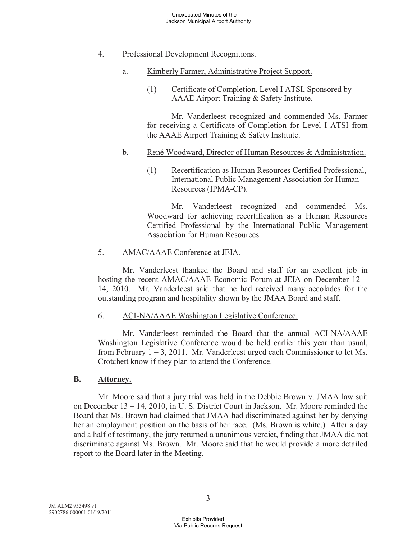### 4. Professional Development Recognitions.

- a. Kimberly Farmer, Administrative Project Support.
	- (1) Certificate of Completion, Level I ATSI, Sponsored by AAAE Airport Training & Safety Institute.

Mr. Vanderleest recognized and commended Ms. Farmer for receiving a Certificate of Completion for Level I ATSI from the AAAE Airport Training & Safety Institute.

#### b. René Woodward, Director of Human Resources & Administration.

(1) Recertification as Human Resources Certified Professional, International Public Management Association for Human Resources (IPMA-CP).

Mr. Vanderleest recognized and commended Ms. Woodward for achieving recertification as a Human Resources Certified Professional by the International Public Management Association for Human Resources.

### 5. AMAC/AAAE Conference at JEIA.

Mr. Vanderleest thanked the Board and staff for an excellent job in hosting the recent AMAC/AAAE Economic Forum at JEIA on December 12 – 14, 2010. Mr. Vanderleest said that he had received many accolades for the outstanding program and hospitality shown by the JMAA Board and staff.

#### 6. ACI-NA/AAAE Washington Legislative Conference.

Mr. Vanderleest reminded the Board that the annual ACI-NA/AAAE Washington Legislative Conference would be held earlier this year than usual, from February 1 – 3, 2011. Mr. Vanderleest urged each Commissioner to let Ms. Crotchett know if they plan to attend the Conference.

#### **B. Attorney.**

Mr. Moore said that a jury trial was held in the Debbie Brown v. JMAA law suit on December 13 – 14, 2010, in U. S. District Court in Jackson. Mr. Moore reminded the Board that Ms. Brown had claimed that JMAA had discriminated against her by denying her an employment position on the basis of her race. (Ms. Brown is white.) After a day and a half of testimony, the jury returned a unanimous verdict, finding that JMAA did not discriminate against Ms. Brown. Mr. Moore said that he would provide a more detailed report to the Board later in the Meeting.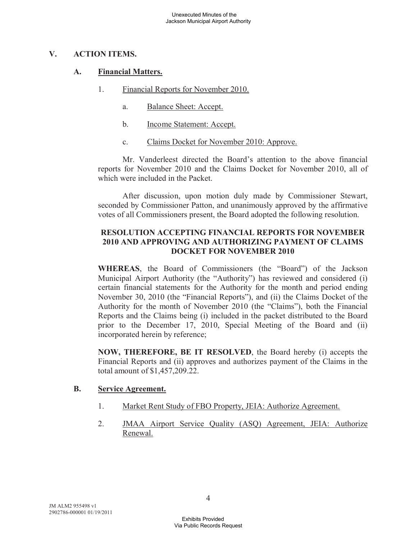### **V. ACTION ITEMS.**

### **A. Financial Matters.**

- 1. Financial Reports for November 2010.
	- a. Balance Sheet: Accept.
	- b. Income Statement: Accept.
	- c. Claims Docket for November 2010: Approve.

Mr. Vanderleest directed the Board's attention to the above financial reports for November 2010 and the Claims Docket for November 2010, all of which were included in the Packet.

After discussion, upon motion duly made by Commissioner Stewart, seconded by Commissioner Patton, and unanimously approved by the affirmative votes of all Commissioners present, the Board adopted the following resolution.

### **RESOLUTION ACCEPTING FINANCIAL REPORTS FOR NOVEMBER 2010 AND APPROVING AND AUTHORIZING PAYMENT OF CLAIMS DOCKET FOR NOVEMBER 2010**

**WHEREAS**, the Board of Commissioners (the "Board") of the Jackson Municipal Airport Authority (the "Authority") has reviewed and considered (i) certain financial statements for the Authority for the month and period ending November 30, 2010 (the "Financial Reports"), and (ii) the Claims Docket of the Authority for the month of November 2010 (the "Claims"), both the Financial Reports and the Claims being (i) included in the packet distributed to the Board prior to the December 17, 2010, Special Meeting of the Board and (ii) incorporated herein by reference;

**NOW, THEREFORE, BE IT RESOLVED**, the Board hereby (i) accepts the Financial Reports and (ii) approves and authorizes payment of the Claims in the total amount of \$1,457,209.22.

#### **B. Service Agreement.**

- 1. Market Rent Study of FBO Property, JEIA: Authorize Agreement.
- 2. JMAA Airport Service Quality (ASQ) Agreement, JEIA: Authorize Renewal.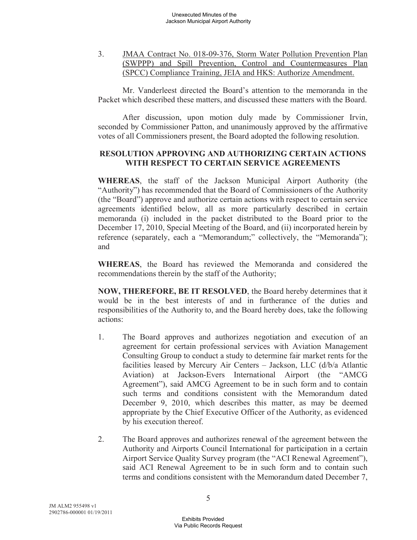3. JMAA Contract No. 018-09-376, Storm Water Pollution Prevention Plan (SWPPP) and Spill Prevention, Control and Countermeasures Plan (SPCC) Compliance Training, JEIA and HKS: Authorize Amendment.

Mr. Vanderleest directed the Board's attention to the memoranda in the Packet which described these matters, and discussed these matters with the Board.

After discussion, upon motion duly made by Commissioner Irvin, seconded by Commissioner Patton, and unanimously approved by the affirmative votes of all Commissioners present, the Board adopted the following resolution.

### **RESOLUTION APPROVING AND AUTHORIZING CERTAIN ACTIONS WITH RESPECT TO CERTAIN SERVICE AGREEMENTS**

**WHEREAS**, the staff of the Jackson Municipal Airport Authority (the "Authority") has recommended that the Board of Commissioners of the Authority (the "Board") approve and authorize certain actions with respect to certain service agreements identified below, all as more particularly described in certain memoranda (i) included in the packet distributed to the Board prior to the December 17, 2010, Special Meeting of the Board, and (ii) incorporated herein by reference (separately, each a "Memorandum;" collectively, the "Memoranda"); and

**WHEREAS**, the Board has reviewed the Memoranda and considered the recommendations therein by the staff of the Authority;

**NOW, THEREFORE, BE IT RESOLVED**, the Board hereby determines that it would be in the best interests of and in furtherance of the duties and responsibilities of the Authority to, and the Board hereby does, take the following actions:

- 1. The Board approves and authorizes negotiation and execution of an agreement for certain professional services with Aviation Management Consulting Group to conduct a study to determine fair market rents for the facilities leased by Mercury Air Centers – Jackson, LLC (d/b/a Atlantic Aviation) at Jackson-Evers International Airport (the "AMCG Agreement"), said AMCG Agreement to be in such form and to contain such terms and conditions consistent with the Memorandum dated December 9, 2010, which describes this matter, as may be deemed appropriate by the Chief Executive Officer of the Authority, as evidenced by his execution thereof.
- 2. The Board approves and authorizes renewal of the agreement between the Authority and Airports Council International for participation in a certain Airport Service Quality Survey program (the "ACI Renewal Agreement"), said ACI Renewal Agreement to be in such form and to contain such terms and conditions consistent with the Memorandum dated December 7,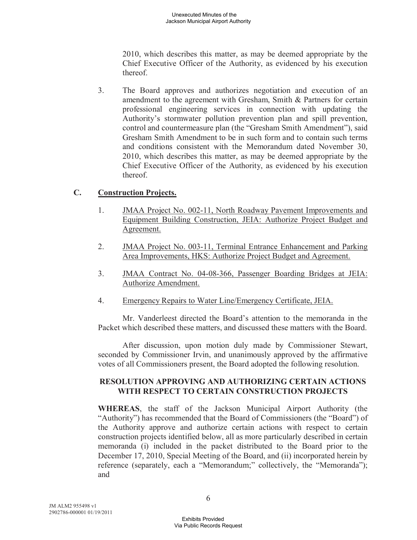2010, which describes this matter, as may be deemed appropriate by the Chief Executive Officer of the Authority, as evidenced by his execution thereof.

3. The Board approves and authorizes negotiation and execution of an amendment to the agreement with Gresham, Smith & Partners for certain professional engineering services in connection with updating the Authority's stormwater pollution prevention plan and spill prevention, control and countermeasure plan (the "Gresham Smith Amendment"), said Gresham Smith Amendment to be in such form and to contain such terms and conditions consistent with the Memorandum dated November 30, 2010, which describes this matter, as may be deemed appropriate by the Chief Executive Officer of the Authority, as evidenced by his execution thereof.

## **C. Construction Projects.**

- 1. JMAA Project No. 002-11, North Roadway Pavement Improvements and Equipment Building Construction, JEIA: Authorize Project Budget and Agreement.
- 2. JMAA Project No. 003-11, Terminal Entrance Enhancement and Parking Area Improvements, HKS: Authorize Project Budget and Agreement.
- 3. JMAA Contract No. 04-08-366, Passenger Boarding Bridges at JEIA: Authorize Amendment.
- 4. Emergency Repairs to Water Line/Emergency Certificate, JEIA.

Mr. Vanderleest directed the Board's attention to the memoranda in the Packet which described these matters, and discussed these matters with the Board.

After discussion, upon motion duly made by Commissioner Stewart, seconded by Commissioner Irvin, and unanimously approved by the affirmative votes of all Commissioners present, the Board adopted the following resolution.

### **RESOLUTION APPROVING AND AUTHORIZING CERTAIN ACTIONS WITH RESPECT TO CERTAIN CONSTRUCTION PROJECTS**

**WHEREAS**, the staff of the Jackson Municipal Airport Authority (the "Authority") has recommended that the Board of Commissioners (the "Board") of the Authority approve and authorize certain actions with respect to certain construction projects identified below, all as more particularly described in certain memoranda (i) included in the packet distributed to the Board prior to the December 17, 2010, Special Meeting of the Board, and (ii) incorporated herein by reference (separately, each a "Memorandum;" collectively, the "Memoranda"); and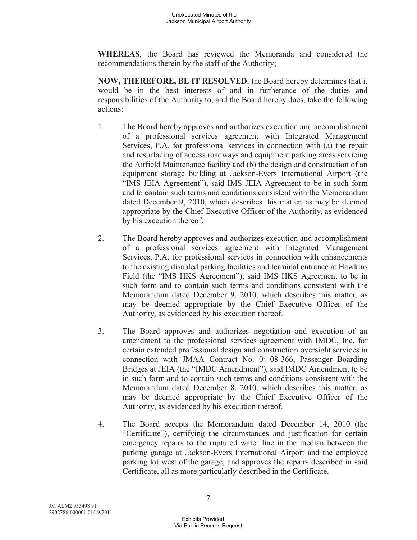**WHEREAS**, the Board has reviewed the Memoranda and considered the recommendations therein by the staff of the Authority;

**NOW, THEREFORE, BE IT RESOLVED**, the Board hereby determines that it would be in the best interests of and in furtherance of the duties and responsibilities of the Authority to, and the Board hereby does, take the following actions:

- 1. The Board hereby approves and authorizes execution and accomplishment of a professional services agreement with Integrated Management Services, P.A. for professional services in connection with (a) the repair and resurfacing of access roadways and equipment parking areas servicing the Airfield Maintenance facility and (b) the design and construction of an equipment storage building at Jackson-Evers International Airport (the "IMS JEIA Agreement"), said IMS JEIA Agreement to be in such form and to contain such terms and conditions consistent with the Memorandum dated December 9, 2010, which describes this matter, as may be deemed appropriate by the Chief Executive Officer of the Authority, as evidenced by his execution thereof.
- 2. The Board hereby approves and authorizes execution and accomplishment of a professional services agreement with Integrated Management Services, P.A. for professional services in connection with enhancements to the existing disabled parking facilities and terminal entrance at Hawkins Field (the "IMS HKS Agreement"), said IMS HKS Agreement to be in such form and to contain such terms and conditions consistent with the Memorandum dated December 9, 2010, which describes this matter, as may be deemed appropriate by the Chief Executive Officer of the Authority, as evidenced by his execution thereof.
- 3. The Board approves and authorizes negotiation and execution of an amendment to the professional services agreement with IMDC, Inc. for certain extended professional design and construction oversight services in connection with JMAA Contract No. 04-08-366, Passenger Boarding Bridges at JEIA (the "IMDC Amendment"), said IMDC Amendment to be in such form and to contain such terms and conditions consistent with the Memorandum dated December 8, 2010, which describes this matter, as may be deemed appropriate by the Chief Executive Officer of the Authority, as evidenced by his execution thereof.
- 4. The Board accepts the Memorandum dated December 14, 2010 (the "Certificate"), certifying the circumstances and justification for certain emergency repairs to the ruptured water line in the median between the parking garage at Jackson-Evers International Airport and the employee parking lot west of the garage, and approves the repairs described in said Certificate, all as more particularly described in the Certificate.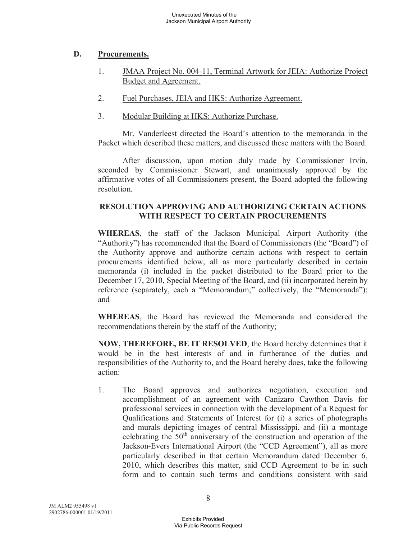## **D. Procurements.**

- 1. JMAA Project No. 004-11, Terminal Artwork for JEIA: Authorize Project Budget and Agreement.
- 2. Fuel Purchases, JEIA and HKS: Authorize Agreement.
- 3. Modular Building at HKS: Authorize Purchase.

Mr. Vanderleest directed the Board's attention to the memoranda in the Packet which described these matters, and discussed these matters with the Board.

After discussion, upon motion duly made by Commissioner Irvin, seconded by Commissioner Stewart, and unanimously approved by the affirmative votes of all Commissioners present, the Board adopted the following resolution.

## **RESOLUTION APPROVING AND AUTHORIZING CERTAIN ACTIONS WITH RESPECT TO CERTAIN PROCUREMENTS**

**WHEREAS**, the staff of the Jackson Municipal Airport Authority (the "Authority") has recommended that the Board of Commissioners (the "Board") of the Authority approve and authorize certain actions with respect to certain procurements identified below, all as more particularly described in certain memoranda (i) included in the packet distributed to the Board prior to the December 17, 2010, Special Meeting of the Board, and (ii) incorporated herein by reference (separately, each a "Memorandum;" collectively, the "Memoranda"); and

**WHEREAS**, the Board has reviewed the Memoranda and considered the recommendations therein by the staff of the Authority;

**NOW, THEREFORE, BE IT RESOLVED**, the Board hereby determines that it would be in the best interests of and in furtherance of the duties and responsibilities of the Authority to, and the Board hereby does, take the following action:

1. The Board approves and authorizes negotiation, execution and accomplishment of an agreement with Canizaro Cawthon Davis for professional services in connection with the development of a Request for Qualifications and Statements of Interest for (i) a series of photographs and murals depicting images of central Mississippi, and (ii) a montage celebrating the  $50<sup>th</sup>$  anniversary of the construction and operation of the Jackson-Evers International Airport (the "CCD Agreement"), all as more particularly described in that certain Memorandum dated December 6, 2010, which describes this matter, said CCD Agreement to be in such form and to contain such terms and conditions consistent with said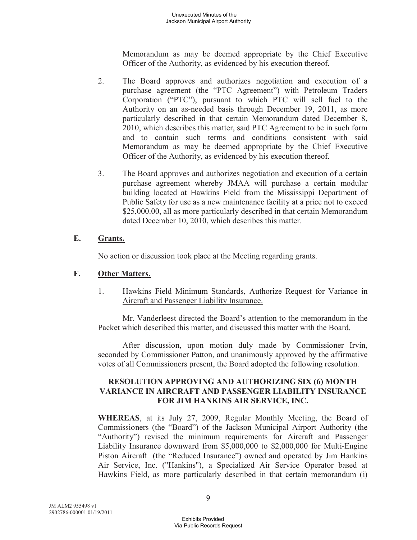Memorandum as may be deemed appropriate by the Chief Executive Officer of the Authority, as evidenced by his execution thereof.

- 2. The Board approves and authorizes negotiation and execution of a purchase agreement (the "PTC Agreement") with Petroleum Traders Corporation ("PTC"), pursuant to which PTC will sell fuel to the Authority on an as-needed basis through December 19, 2011, as more particularly described in that certain Memorandum dated December 8, 2010, which describes this matter, said PTC Agreement to be in such form and to contain such terms and conditions consistent with said Memorandum as may be deemed appropriate by the Chief Executive Officer of the Authority, as evidenced by his execution thereof.
- 3. The Board approves and authorizes negotiation and execution of a certain purchase agreement whereby JMAA will purchase a certain modular building located at Hawkins Field from the Mississippi Department of Public Safety for use as a new maintenance facility at a price not to exceed \$25,000.00, all as more particularly described in that certain Memorandum dated December 10, 2010, which describes this matter.

## **E. Grants.**

No action or discussion took place at the Meeting regarding grants.

## **F. Other Matters.**

1. Hawkins Field Minimum Standards, Authorize Request for Variance in Aircraft and Passenger Liability Insurance.

Mr. Vanderleest directed the Board's attention to the memorandum in the Packet which described this matter, and discussed this matter with the Board.

After discussion, upon motion duly made by Commissioner Irvin, seconded by Commissioner Patton, and unanimously approved by the affirmative votes of all Commissioners present, the Board adopted the following resolution.

### **RESOLUTION APPROVING AND AUTHORIZING SIX (6) MONTH VARIANCE IN AIRCRAFT AND PASSENGER LIABILITY INSURANCE FOR JIM HANKINS AIR SERVICE, INC.**

**WHEREAS**, at its July 27, 2009, Regular Monthly Meeting, the Board of Commissioners (the "Board") of the Jackson Municipal Airport Authority (the "Authority") revised the minimum requirements for Aircraft and Passenger Liability Insurance downward from \$5,000,000 to \$2,000,000 for Multi-Engine Piston Aircraft (the "Reduced Insurance") owned and operated by Jim Hankins Air Service, Inc. ("Hankins"), a Specialized Air Service Operator based at Hawkins Field, as more particularly described in that certain memorandum (i)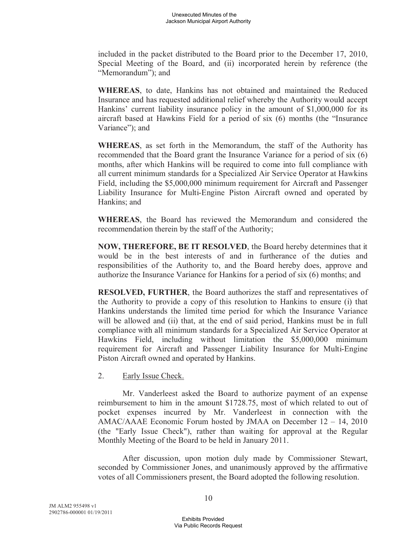included in the packet distributed to the Board prior to the December 17, 2010, Special Meeting of the Board, and (ii) incorporated herein by reference (the "Memorandum"); and

**WHEREAS**, to date, Hankins has not obtained and maintained the Reduced Insurance and has requested additional relief whereby the Authority would accept Hankins' current liability insurance policy in the amount of \$1,000,000 for its aircraft based at Hawkins Field for a period of six (6) months (the "Insurance Variance"); and

**WHEREAS**, as set forth in the Memorandum, the staff of the Authority has recommended that the Board grant the Insurance Variance for a period of six (6) months, after which Hankins will be required to come into full compliance with all current minimum standards for a Specialized Air Service Operator at Hawkins Field, including the \$5,000,000 minimum requirement for Aircraft and Passenger Liability Insurance for Multi-Engine Piston Aircraft owned and operated by Hankins; and

**WHEREAS**, the Board has reviewed the Memorandum and considered the recommendation therein by the staff of the Authority;

**NOW, THEREFORE, BE IT RESOLVED**, the Board hereby determines that it would be in the best interests of and in furtherance of the duties and responsibilities of the Authority to, and the Board hereby does, approve and authorize the Insurance Variance for Hankins for a period of six (6) months; and

**RESOLVED, FURTHER**, the Board authorizes the staff and representatives of the Authority to provide a copy of this resolution to Hankins to ensure (i) that Hankins understands the limited time period for which the Insurance Variance will be allowed and (ii) that, at the end of said period, Hankins must be in full compliance with all minimum standards for a Specialized Air Service Operator at Hawkins Field, including without limitation the \$5,000,000 minimum requirement for Aircraft and Passenger Liability Insurance for Multi-Engine Piston Aircraft owned and operated by Hankins.

2. Early Issue Check.

Mr. Vanderleest asked the Board to authorize payment of an expense reimbursement to him in the amount \$1728.75, most of which related to out of pocket expenses incurred by Mr. Vanderleest in connection with the AMAC/AAAE Economic Forum hosted by JMAA on December 12 – 14, 2010 (the "Early Issue Check"), rather than waiting for approval at the Regular Monthly Meeting of the Board to be held in January 2011.

After discussion, upon motion duly made by Commissioner Stewart, seconded by Commissioner Jones, and unanimously approved by the affirmative votes of all Commissioners present, the Board adopted the following resolution.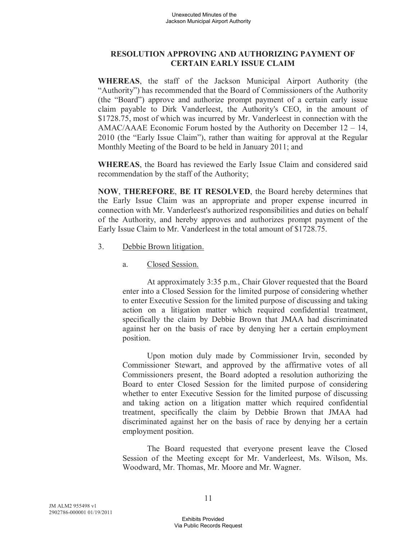## **RESOLUTION APPROVING AND AUTHORIZING PAYMENT OF CERTAIN EARLY ISSUE CLAIM**

**WHEREAS**, the staff of the Jackson Municipal Airport Authority (the "Authority") has recommended that the Board of Commissioners of the Authority (the "Board") approve and authorize prompt payment of a certain early issue claim payable to Dirk Vanderleest, the Authority's CEO, in the amount of \$1728.75, most of which was incurred by Mr. Vanderleest in connection with the AMAC/AAAE Economic Forum hosted by the Authority on December 12 – 14, 2010 (the "Early Issue Claim"), rather than waiting for approval at the Regular Monthly Meeting of the Board to be held in January 2011; and

**WHEREAS**, the Board has reviewed the Early Issue Claim and considered said recommendation by the staff of the Authority;

**NOW**, **THEREFORE**, **BE IT RESOLVED**, the Board hereby determines that the Early Issue Claim was an appropriate and proper expense incurred in connection with Mr. Vanderleest's authorized responsibilities and duties on behalf of the Authority, and hereby approves and authorizes prompt payment of the Early Issue Claim to Mr. Vanderleest in the total amount of \$1728.75.

- 3. Debbie Brown litigation.
	- a. Closed Session.

At approximately 3:35 p.m., Chair Glover requested that the Board enter into a Closed Session for the limited purpose of considering whether to enter Executive Session for the limited purpose of discussing and taking action on a litigation matter which required confidential treatment, specifically the claim by Debbie Brown that JMAA had discriminated against her on the basis of race by denying her a certain employment position.

Upon motion duly made by Commissioner Irvin, seconded by Commissioner Stewart, and approved by the affirmative votes of all Commissioners present, the Board adopted a resolution authorizing the Board to enter Closed Session for the limited purpose of considering whether to enter Executive Session for the limited purpose of discussing and taking action on a litigation matter which required confidential treatment, specifically the claim by Debbie Brown that JMAA had discriminated against her on the basis of race by denying her a certain employment position.

The Board requested that everyone present leave the Closed Session of the Meeting except for Mr. Vanderleest, Ms. Wilson, Ms. Woodward, Mr. Thomas, Mr. Moore and Mr. Wagner.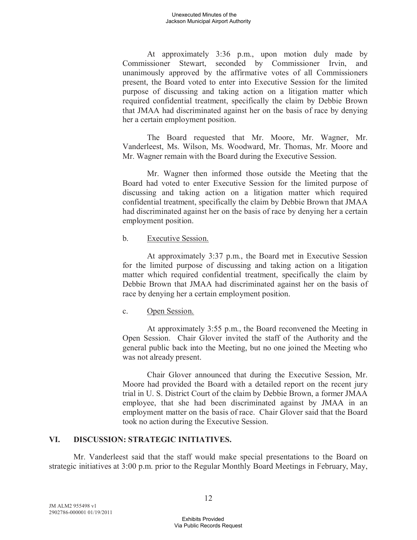At approximately 3:36 p.m., upon motion duly made by Commissioner Stewart, seconded by Commissioner Irvin, and unanimously approved by the affirmative votes of all Commissioners present, the Board voted to enter into Executive Session for the limited purpose of discussing and taking action on a litigation matter which required confidential treatment, specifically the claim by Debbie Brown that JMAA had discriminated against her on the basis of race by denying her a certain employment position.

The Board requested that Mr. Moore, Mr. Wagner, Mr. Vanderleest, Ms. Wilson, Ms. Woodward, Mr. Thomas, Mr. Moore and Mr. Wagner remain with the Board during the Executive Session.

Mr. Wagner then informed those outside the Meeting that the Board had voted to enter Executive Session for the limited purpose of discussing and taking action on a litigation matter which required confidential treatment, specifically the claim by Debbie Brown that JMAA had discriminated against her on the basis of race by denying her a certain employment position.

#### b. Executive Session.

At approximately 3:37 p.m., the Board met in Executive Session for the limited purpose of discussing and taking action on a litigation matter which required confidential treatment, specifically the claim by Debbie Brown that JMAA had discriminated against her on the basis of race by denying her a certain employment position.

## c. Open Session.

At approximately 3:55 p.m., the Board reconvened the Meeting in Open Session. Chair Glover invited the staff of the Authority and the general public back into the Meeting, but no one joined the Meeting who was not already present.

Chair Glover announced that during the Executive Session, Mr. Moore had provided the Board with a detailed report on the recent jury trial in U. S. District Court of the claim by Debbie Brown, a former JMAA employee, that she had been discriminated against by JMAA in an employment matter on the basis of race. Chair Glover said that the Board took no action during the Executive Session.

## **VI. DISCUSSION: STRATEGIC INITIATIVES.**

Mr. Vanderleest said that the staff would make special presentations to the Board on strategic initiatives at 3:00 p.m. prior to the Regular Monthly Board Meetings in February, May,